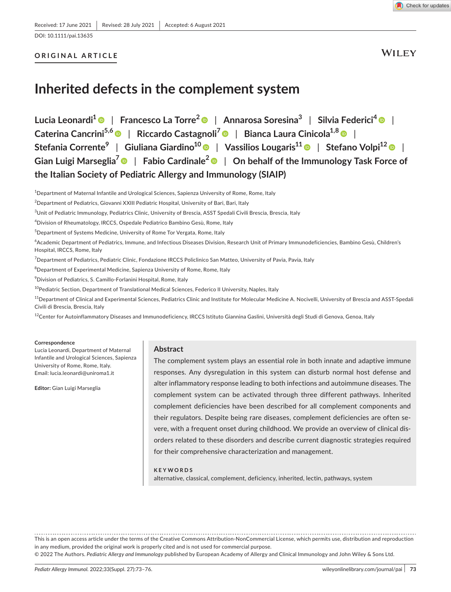DOI: 10.1111/pai.13635

### **ORIGINAL ARTICLE**

**WILEY** 

# **Inherited defects in the complement system**

**Lucia Leonardi[1](https://orcid.org/0000-0002-2554-1263)** | **Francesco La Torre2** | **Annarosa Soresina3** | **Silvia Federici<sup>4</sup>** | **Caterina Cancrini5,6** | **Riccardo Castagnoli[7](https://orcid.org/0000-0003-0029-9383)** | **Bianca Laura Cinicola1,8** | **Stefania Corrente9** | **Giuliana Giardino10** | **Vassilios Lougaris1[1](https://orcid.org/0000-0003-2303-9533)** | **Stefano Volpi1[2](https://orcid.org/0000-0002-7129-868X)** | **Gian Luigi Marseglia7** | **Fabio Cardinale[2](https://orcid.org/0000-0002-6774-6152)** | **On behalf of the Immunology Task Force of the Italian Society of Pediatric Allergy and Immunology (SIAIP)**

1 Department of Maternal Infantile and Urological Sciences, Sapienza University of Rome, Rome, Italy

 $^3$ Unit of Pediatric Immunology, Pediatrics Clinic, University of Brescia, ASST Spedali Civili Brescia, Brescia, Italy

4 Division of Rheumatology, IRCCS, Ospedale Pediatrico Bambino Gesù, Rome, Italy

5 Department of Systems Medicine, University of Rome Tor Vergata, Rome, Italy

6 Academic Department of Pediatrics, Immune, and Infectious Diseases Division, Research Unit of Primary Immunodeficiencies, Bambino Gesù, Children's Hospital, IRCCS, Rome, Italy

<sup>7</sup>Department of Pediatrics, Pediatric Clinic, Fondazione IRCCS Policlinico San Matteo, University of Pavia, Pavia, Italy

 $^8$ Department of Experimental Medicine, Sapienza University of Rome, Rome, Italy

9 Division of Pediatrics, S. Camillo-Forlanini Hospital, Rome, Italy

<sup>10</sup>Pediatric Section, Department of Translational Medical Sciences, Federico II University, Naples, Italy

<sup>11</sup>Department of Clinical and Experimental Sciences, Pediatrics Clinic and Institute for Molecular Medicine A. Nocivelli, University of Brescia and ASST-Spedali Civili di Brescia, Brescia, Italy

 $^{12}$ Center for Autoinflammatory Diseases and Immunodeficiency, IRCCS Istituto Giannina Gaslini, Università degli Studi di Genova, Genoa, Italy

#### **Correspondence**

Lucia Leonardi, Department of Maternal Infantile and Urological Sciences, Sapienza University of Rome, Rome, Italy. Email: [lucia.leonardi@uniroma1.it](mailto:lucia.leonardi@uniroma1.it)

**Editor:** Gian Luigi Marseglia

#### **Abstract**

The complement system plays an essential role in both innate and adaptive immune responses. Any dysregulation in this system can disturb normal host defense and alter inflammatory response leading to both infections and autoimmune diseases. The complement system can be activated through three different pathways. Inherited complement deficiencies have been described for all complement components and their regulators. Despite being rare diseases, complement deficiencies are often severe, with a frequent onset during childhood. We provide an overview of clinical disorders related to these disorders and describe current diagnostic strategies required for their comprehensive characterization and management.

**KEYWORDS** alternative, classical, complement, deficiency, inherited, lectin, pathways, system

This is an open access article under the terms of the Creative Commons Attribution-NonCommercial License, which permits use, distribution and reproduction in any medium, provided the original work is properly cited and is not used for commercial purpose.

© 2022 The Authors. *Pediatric Allergy and Immunology* published by European Academy of Allergy and Clinical Immunology and John Wiley & Sons Ltd.

 $^{\rm 2}$ Department of Pediatrics, Giovanni XXIII Pediatric Hospital, University of Bari, Bari, Italy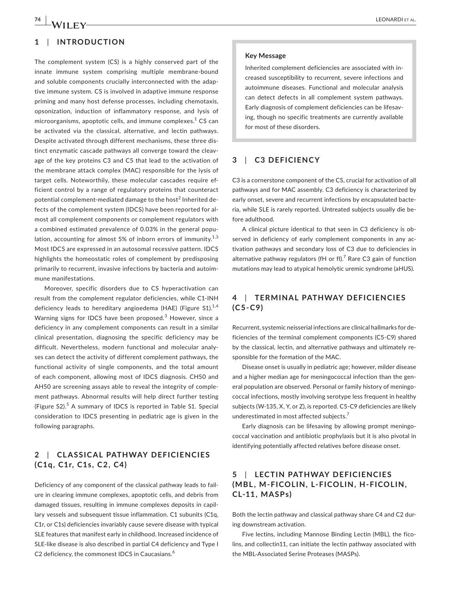# **1**  | **INTRODUCTION**

The complement system (CS) is a highly conserved part of the innate immune system comprising multiple membrane-bound and soluble components crucially interconnected with the adaptive immune system. CS is involved in adaptive immune response priming and many host defense processes, including chemotaxis, opsonization, induction of inflammatory response, and lysis of microorganisms, apoptotic cells, and immune complexes. $^{\rm 1}$  CS can be activated via the classical, alternative, and lectin pathways. Despite activated through different mechanisms, these three distinct enzymatic cascade pathways all converge toward the cleavage of the key proteins C3 and C5 that lead to the activation of the membrane attack complex (MAC) responsible for the lysis of target cells. Noteworthily, these molecular cascades require efficient control by a range of regulatory proteins that counteract potential complement-mediated damage to the host $^2$  Inherited defects of the complement system (IDCS) have been reported for almost all complement components or complement regulators with a combined estimated prevalence of 0.03% in the general population, accounting for almost 5% of inborn errors of immunity. $1,3$ Most IDCS are expressed in an autosomal recessive pattern. IDCS highlights the homeostatic roles of complement by predisposing primarily to recurrent, invasive infections by bacteria and autoimmune manifestations.

Moreover, specific disorders due to CS hyperactivation can result from the complement regulator deficiencies, while C1-INH deficiency leads to hereditary angioedema (HAE) (Figure  $S1$ ).<sup>1,4</sup> Warning signs for IDCS have been proposed.<sup>3</sup> However, since a deficiency in any complement components can result in a similar clinical presentation, diagnosing the specific deficiency may be difficult. Nevertheless, modern functional and molecular analyses can detect the activity of different complement pathways, the functional activity of single components, and the total amount of each component, allowing most of IDCS diagnosis. CH50 and AH50 are screening assays able to reveal the integrity of complement pathways. Abnormal results will help direct further testing (Figure S2).<sup>5</sup> A summary of IDCS is reported in Table S1. Special consideration to IDCS presenting in pediatric age is given in the following paragraphs.

# **2**  | **CL A SSIC AL PATHWAY DEFICIENCIES (C1q, C1r, C1s, C2, C4)**

Deficiency of any component of the classical pathway leads to failure in clearing immune complexes, apoptotic cells, and debris from damaged tissues, resulting in immune complexes deposits in capillary vessels and subsequent tissue inflammation. C1 subunits (C1q, C1r, or C1s) deficiencies invariably cause severe disease with typical SLE features that manifest early in childhood. Increased incidence of SLE-like disease is also described in partial C4 deficiency and Type I C2 deficiency, the commonest IDCS in Caucasians.<sup>6</sup>

#### **Key Message**

Inherited complement deficiencies are associated with increased susceptibility to recurrent, severe infections and autoimmune diseases. Functional and molecular analysis can detect defects in all complement system pathways. Early diagnosis of complement deficiencies can be lifesaving, though no specific treatments are currently available for most of these disorders.

### **3**  | **C3 DEFICIENCY**

C3 is a cornerstone component of the CS, crucial for activation of all pathways and for MAC assembly. C3 deficiency is characterized by early onset, severe and recurrent infections by encapsulated bacteria, while SLE is rarely reported. Untreated subjects usually die before adulthood.

A clinical picture identical to that seen in C3 deficiency is observed in deficiency of early complement components in any activation pathways and secondary loss of C3 due to deficiencies in alternative pathway regulators (fH or fl). $^7$  Rare C3 gain of function mutations may lead to atypical hemolytic uremic syndrome (aHUS).

# **4**  | **TERMINAL PATHWAY DEFICIENCIES (C5-C9)**

Recurrent, systemic neisserial infections are clinical hallmarks for deficiencies of the terminal complement components (C5-C9) shared by the classical, lectin, and alternative pathways and ultimately responsible for the formation of the MAC.

Disease onset is usually in pediatric age; however, milder disease and a higher median age for meningococcal infection than the general population are observed. Personal or family history of meningococcal infections, mostly involving serotype less frequent in healthy subjects (W-135, X, Y, or Z), is reported. C5-C9 deficiencies are likely underestimated in most affected subjects.<sup>7</sup>

Early diagnosis can be lifesaving by allowing prompt meningococcal vaccination and antibiotic prophylaxis but it is also pivotal in identifying potentially affected relatives before disease onset.

# **5**  | **LEC TIN PATHWAY DEFICIENCIES (MBL, M-FICOLIN, L-FICOLIN, H-FICOLIN, CL-11, MASPs)**

Both the lectin pathway and classical pathway share C4 and C2 during downstream activation.

Five lectins, including Mannose Binding Lectin (MBL), the ficolins, and collectin11, can initiate the lectin pathway associated with the MBL-Associated Serine Proteases (MASPs).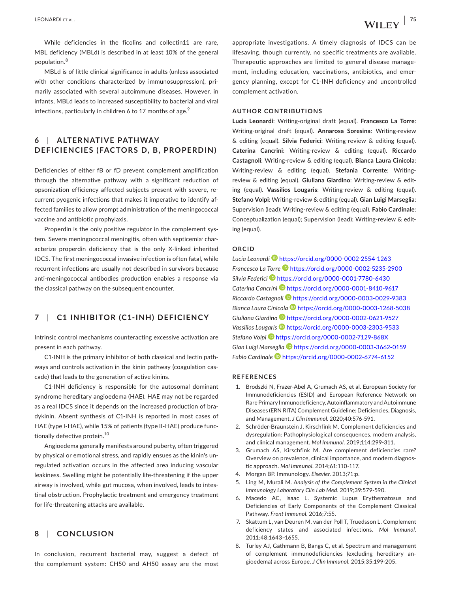While deficiencies in the ficolins and collectin11 are rare, MBL deficiency (MBLd) is described in at least 10% of the general population.<sup>8</sup>

MBLd is of little clinical significance in adults (unless associated with other conditions characterized by immunosuppression), primarily associated with several autoimmune diseases. However, in infants, MBLd leads to increased susceptibility to bacterial and viral infections, particularly in children 6 to 17 months of age. $9$ 

# **6**  | **ALTERNATIVE PATHWAY DEFICIENCIES (FACTORS D, B, PROPERDIN)**

Deficiencies of either fB or fD prevent complement amplification through the alternative pathway with a significant reduction of opsonization efficiency affected subjects present with severe, recurrent pyogenic infections that makes it imperative to identify affected families to allow prompt administration of the meningococcal vaccine and antibiotic prophylaxis.

Properdin is the only positive regulator in the complement system. Severe meningococcal meningitis, often with septicemia' characterize properdin deficiency that is the only X-linked inherited IDCS. The first meningococcal invasive infection is often fatal, while recurrent infections are usually not described in survivors because anti-meningococcal antibodies production enables a response via the classical pathway on the subsequent encounter.

### **7**  | **C1 INHIBITOR (C1-INH) DEFICIENCY**

Intrinsic control mechanisms counteracting excessive activation are present in each pathway.

C1-INH is the primary inhibitor of both classical and lectin pathways and controls activation in the kinin pathway (coagulation cascade) that leads to the generation of active kinins.

C1-INH deficiency is responsible for the autosomal dominant syndrome hereditary angioedema (HAE). HAE may not be regarded as a real IDCS since it depends on the increased production of bradykinin. Absent synthesis of C1-INH is reported in most cases of HAE (type I-HAE), while 15% of patients (type II-HAE) produce functionally defective protein.<sup>10</sup>

Angioedema generally manifests around puberty, often triggered by physical or emotional stress, and rapidly ensues as the kinin's unregulated activation occurs in the affected area inducing vascular leakiness. Swelling might be potentially life-threatening if the upper airway is involved, while gut mucosa, when involved, leads to intestinal obstruction. Prophylactic treatment and emergency treatment for life-threatening attacks are available.

### **8**  | **CONCLUSION**

In conclusion, recurrent bacterial may, suggest a defect of the complement system: CH50 and AH50 assay are the most

appropriate investigations. A timely diagnosis of IDCS can be lifesaving, though currently, no specific treatments are available. Therapeutic approaches are limited to general disease management, including education, vaccinations, antibiotics, and emergency planning, except for C1-INH deficiency and uncontrolled complement activation.

#### **AUTHOR CONTRIBUTIONS**

**Lucia Leonardi**: Writing-original draft (equal). **Francesco La Torre**: Writing-original draft (equal). **Annarosa Soresina**: Writing-review & editing (equal). **Silvia Federici**: Writing-review & editing (equal). **Caterina Cancrini**: Writing-review & editing (equal). **Riccardo Castagnoli**: Writing-review & editing (equal). **Bianca Laura Cinicola**: Writing-review & editing (equal). **Stefania Corrente**: Writingreview & editing (equal). **Giuliana Giardino**: Writing-review & editing (equal). **Vassilios Lougaris**: Writing-review & editing (equal). **Stefano Volpi**: Writing-review & editing (equal). **Gian Luigi Marseglia**: Supervision (lead); Writing-review & editing (equal). **Fabio Cardinale**: Conceptualization (equal); Supervision (lead); Writing-review & editing (equal).

#### **ORCID**

*Lucia Leonard[i](https://orcid.org/0000-0002-2554-1263)* <https://orcid.org/0000-0002-2554-1263> *Francesco La Torre* <https://orcid.org/0000-0002-5235-2900> *Silvia Federic[i](https://orcid.org/0000-0001-7780-6430)* <https://orcid.org/0000-0001-7780-6430> *Caterina Cancrin[i](https://orcid.org/0000-0001-8410-9617)* <https://orcid.org/0000-0001-8410-9617> *Riccardo Castagnol[i](https://orcid.org/0000-0003-0029-9383)* <https://orcid.org/0000-0003-0029-9383> *Bianca Laura Cinicola* <https://orcid.org/0000-0003-1268-5038> *Giuliana Giardin[o](https://orcid.org/0000-0002-0621-9527)* <https://orcid.org/0000-0002-0621-9527> *Vassilios Lougaris* <https://orcid.org/0000-0003-2303-9533> *Stefano Volpi* <https://orcid.org/0000-0002-7129-868X> *Gian Luigi Marseglia* <https://orcid.org/0000-0003-3662-0159> *Fabio Cardinal[e](https://orcid.org/0000-0002-6774-6152)* <https://orcid.org/0000-0002-6774-6152>

#### **REFERENCES**

- 1. Brodszki N, Frazer-Abel A, Grumach AS, et al. European Society for Immunodeficiencies (ESID) and European Reference Network on Rare Primary Immunodeficiency, Autoinflammatory and Autoimmune Diseases (ERN RITA) Complement Guideline: Deficiencies, Diagnosis, and Management. *J Clin Immunol*. 2020;40:576-591.
- 2. Schröder-Braunstein J, Kirschfink M. Complement deficiencies and dysregulation: Pathophysiological consequences, modern analysis, and clinical management. *Mol Immunol*. 2019;114:299-311.
- 3. Grumach AS, Kirschfink M. Are complement deficiencies rare? Overview on prevalence, clinical importance, and modern diagnostic approach. *Mol Immunol*. 2014;61:110-117.
- 4. Morgan BP. Immunology. *Elsevier*. 2013;71:p.
- 5. Ling M, Murali M. *Analysis of the Complement System in the Clinical Immunology Laboratory Clin Lab Med*. 2019;39:579-590.
- 6. Macedo AC, Isaac L. Systemic Lupus Erythematosus and Deficiencies of Early Components of the Complement Classical Pathway. *Front Immunol*. 2016;7:55.
- 7. Skattum L, van Deuren M, van der Poll T, Truedsson L. Complement deficiency states and associated infections. *Mol Immunol*. 2011;48:1643–1655.
- 8. Turley AJ, Gathmann B, Bangs C, et al. Spectrum and management of complement immunodeficiencies (excluding hereditary angioedema) across Europe. *J Clin Immunol*. 2015;35:199-205.